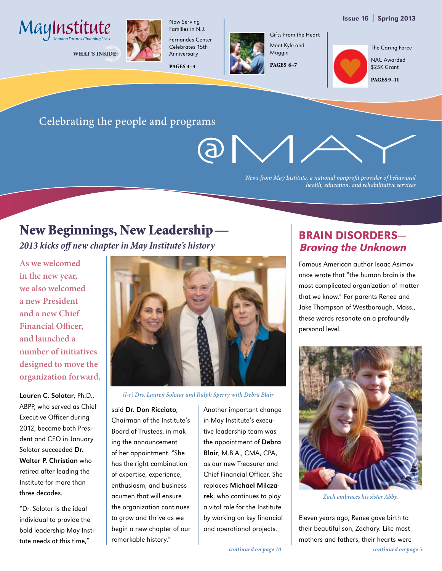



WHAT'S INSIDE:



Families in N.J. Fernandes Center Celebrates 15th

Now Serving

Anniversary PAGES 3–4



Gifts From the Heart Meet Kyle and Maggie

PAGES 6–7

The Caring Force

NAC Awarded \$25K Grant

PAGES 9–11

#### Celebrating the people and programs

(A) |

*News from May Institute, a national nonprofit provider of behavioral health, education, and rehabilitative services*

## New Beginnings, New Leadership—

*2013 kicks off new chapter in May Institute's history*

**As we welcomed in the new year, we also welcomed a new President and a new Chief Financial Officer, and launched a number of initiatives designed to move the organization forward.**

Lauren C. Solotar, Ph.D., ABPP, who served as Chief Executive Officer during 2012, became both President and CEO in January. Solotar succeeded Dr. Walter P. Christian who retired after leading the Institute for more than three decades.

"Dr. Solotar is the ideal individual to provide the bold leadership May Institute needs at this time,"



*(l-r) Drs. Lauren Solotar and Ralph Sperry with Debra Blair* 

said Dr. Don Ricciato, Chairman of the Institute's Board of Trustees, in making the announcement of her appointment. "She has the right combination of expertise, experience, enthusiasm, and business acumen that will ensure the organization continues to grow and thrive as we begin a new chapter of our remarkable history."

Another important change in May Institute's executive leadership team was the appointment of Debra Blair, M.B.A., CMA, CPA, as our new Treasurer and Chief Financial Officer. She replaces Michael Milczarek, who continues to play a vital role for the Institute by working on key financial and operational projects.

#### Brain Disorders— Braving the Unknown

Famous American author Isaac Asimov once wrote that "the human brain is the most complicated organization of matter that we know." For parents Renee and Jake Thompson of Westborough, Mass., these words resonate on a profoundly personal level.



*Zach embraces his sister Abby.* 

Eleven years ago, Renee gave birth to their beautiful son, Zachary. Like most mothers and fathers, their hearts were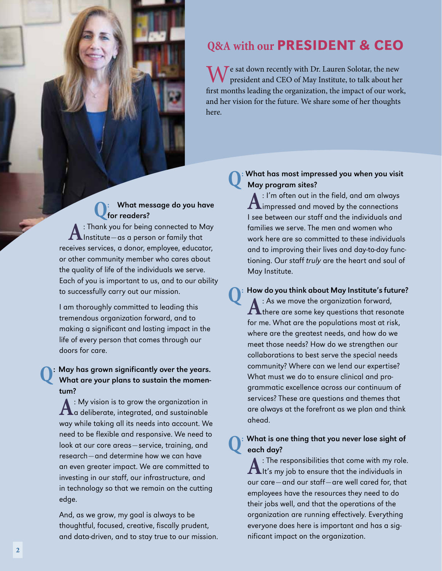

e sat down recently with Dr. Lauren Solotar, the new president and CEO of May Institute, to talk about her first months leading the organization, the impact of our work, and her vision for the future. We share some of her thoughts here.

#### **Q:** What message do you have for readers?

**A**: Thank you for being connected to May<br>Institute—as a person or family that receives services, a donor, employee, educator, or other community member who cares about the quality of life of the individuals we serve. Each of you is important to us, and to our ability to successfully carry out our mission.

I am thoroughly committed to leading this tremendous organization forward, and to making a significant and lasting impact in the life of every person that comes through our doors for care.

## **Q**: May has grown significantly over the years. What are your plans to sustain the momentum?

**A**: My vision is to grow the organization in<br> **A** a deliberate, integrated, and sustainable way while taking all its needs into account. We need to be flexible and responsive. We need to look at our core areas—service, training, and research—and determine how we can have an even greater impact. We are committed to investing in our staff, our infrastructure, and in technology so that we remain on the cutting edge.

And, as we grow, my goal is always to be thoughtful, focused, creative, fiscally prudent, and data-driven, and to stay true to our mission.

#### **Q:** What has most impressed you when you visit May program sites?

**A**: I'm often out in the field, and am always impressed and moved by the connections I see between our staff and the individuals and families we serve. The men and women who work here are so committed to these individuals and to improving their lives and day-to-day functioning. Our staff truly are the heart and soul of May Institute.

**How do you think about May Institute's future?**<br>A : As we move the organization forward, A: As we move the organization forward,<br>there are some key questions that resonate for me. What are the populations most at risk, where are the greatest needs, and how do we meet those needs? How do we strengthen our collaborations to best serve the special needs community? Where can we lend our expertise? What must we do to ensure clinical and programmatic excellence across our continuum of services? These are questions and themes that are always at the forefront as we plan and think ahead.

#### **Q:** What is one thing that you never lose sight of each day?

**A**: The responsibilities that come with my role.  $\blacksquare$ It's my job to ensure that the individuals in our care—and our staff—are well cared for, that employees have the resources they need to do their jobs well, and that the operations of the organization are running effectively. Everything everyone does here is important and has a significant impact on the organization.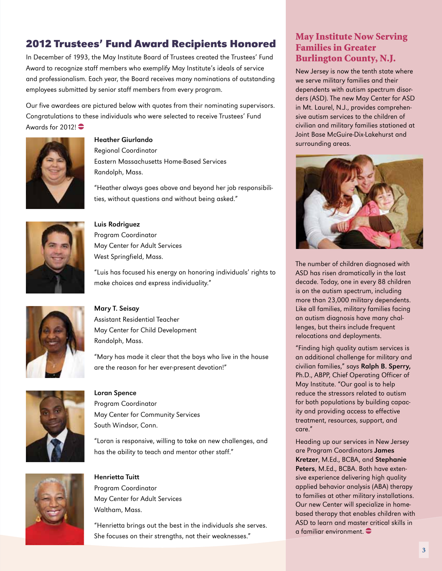### **2012 Trustees' Fund Award Recipients Honored**

In December of 1993, the May Institute Board of Trustees created the Trustees' Fund Award to recognize staff members who exemplify May Institute's ideals of service and professionalism. Each year, the Board receives many nominations of outstanding employees submitted by senior staff members from every program.

Our five awardees are pictured below with quotes from their nominating supervisors. Congratulations to these individuals who were selected to receive Trustees' Fund Awards for  $2012!$ 



#### Heather Giurlando

Regional Coordinator Eastern Massachusetts Home-Based Services Randolph, Mass.

"Heather always goes above and beyond her job responsibilities, without questions and without being asked."



#### Luis Rodriguez

Program Coordinator May Center for Adult Services West Springfield, Mass.

"Luis has focused his energy on honoring individuals' rights to make choices and express individuality."



#### Mary T. Seisay

Assistant Residential Teacher May Center for Child Development Randolph, Mass.

"Mary has made it clear that the boys who live in the house are the reason for her ever-present devotion!"





#### Loran Spence Program Coordinator

May Center for Community Services South Windsor, Conn.

"Loran is responsive, willing to take on new challenges, and has the ability to teach and mentor other staff."

## Henrietta Tuitt

Program Coordinator May Center for Adult Services Waltham, Mass.

"Henrietta brings out the best in the individuals she serves. She focuses on their strengths, not their weaknesses."

#### May Institute Now Serving Families in Greater Burlington County, N.J.

New Jersey is now the tenth state where we serve military families and their dependents with autism spectrum disorders (ASD). The new May Center for ASD in Mt. Laurel, N.J., provides comprehensive autism services to the children of civilian and military families stationed at Joint Base McGuire-Dix-Lakehurst and surrounding areas.



The number of children diagnosed with ASD has risen dramatically in the last decade. Today, one in every 88 children is on the autism spectrum, including more than 23,000 military dependents. Like all families, military families facing an autism diagnosis have many challenges, but theirs include frequent relocations and deployments.

"Finding high quality autism services is an additional challenge for military and civilian families," says Ralph B. Sperry, Ph.D., ABPP, Chief Operating Officer of May Institute. "Our goal is to help reduce the stressors related to autism for both populations by building capacity and providing access to effective treatment, resources, support, and care."

Heading up our services in New Jersey are Program Coordinators James Kretzer, M.Ed., BCBA, and Stephanie Peters, M.Ed., BCBA. Both have extensive experience delivering high quality applied behavior analysis (ABA) therapy to families at other military installations. Our new Center will specialize in homebased therapy that enables children with ASD to learn and master critical skills in a familiar environment.  $\bullet$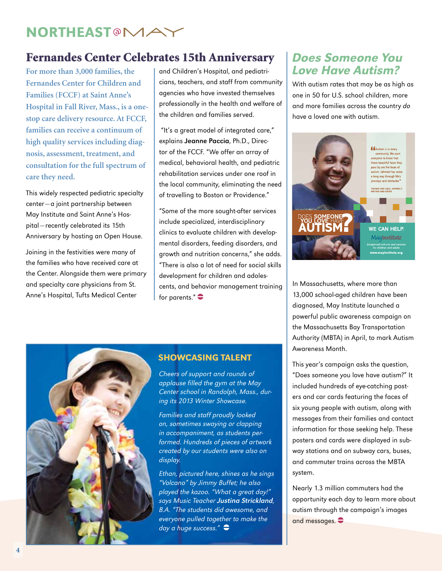## **NORTHEAST@MAY**

### Fernandes Center Celebrates 15th Anniversary

**Fernandes Center for Children and Families (FCCF) at Saint Anne's Hospital in Fall River, Mass., is a onestop care delivery resource. At FCCF, families can receive a continuum of high quality services including diagnosis, assessment, treatment, and consultation for the full spectrum of care they need.** 

This widely respected pediatric specialty center—a joint partnership between May Institute and Saint Anne's Hospital—recently celebrated its 15th Anniversary by hosting an Open House.

Joining in the festivities were many of the families who have received care at the Center. Alongside them were primary and specialty care physicians from St. Anne's Hospital, Tufts Medical Center

For more than 3,000 families, the land Children's Hospital, and pediatri- **Love Have Autism?** and Children's Hospital, and pediatricians, teachers, and staff from community agencies who have invested themselves professionally in the health and welfare of the children and families served.

> "It's a great model of integrated care," explains Jeanne Paccia, Ph.D., Director of the FCCF. "We offer an array of medical, behavioral health, and pediatric rehabilitation services under one roof in the local community, eliminating the need of travelling to Boston or Providence."

> "Some of the more sought-after services include specialized, interdisciplinary clinics to evaluate children with developmental disorders, feeding disorders, and growth and nutrition concerns," she adds. "There is also a lot of need for social skills development for children and adolescents, and behavior management training for parents." $\bullet$

## Does Someone You

With autism rates that may be as high as one in 50 for U.S. school children, more and more families across the country do have a loved one with autism.



In Massachusetts, where more than 13,000 school-aged children have been diagnosed, May Institute launched a powerful public awareness campaign on the Massachusetts Bay Transportation Authority (MBTA) in April, to mark Autism Awareness Month.

This year's campaign asks the question, "Does someone you love have autism?" It included hundreds of eye-catching posters and car cards featuring the faces of six young people with autism, along with messages from their families and contact information for those seeking help. These posters and cards were displayed in subway stations and on subway cars, buses, and commuter trains across the MBTA system.

Nearly 1.3 million commuters had the opportunity each day to learn more about autism through the campaign's images and messages.  $\bullet$ 



#### Showcasing Talent

Cheers of support and rounds of applause filled the gym at the May Center school in Randolph, Mass., during its 2013 Winter Showcase.

Families and staff proudly looked on, sometimes swaying or clapping in accompaniment, as students performed. Hundreds of pieces of artwork created by our students were also on display.

Ethan, pictured here, shines as he sings "Volcano" by Jimmy Buffet; he also played the kazoo. "What a great day!" says Music Teacher Justina Strickland, B.A. "The students did awesome, and everyone pulled together to make the day a huge success."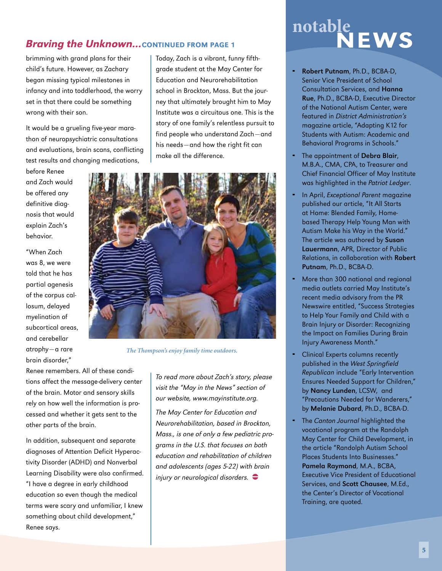#### **Braving the Unknown...** CONTINUED FROM PAGE 1

brimming with grand plans for their child's future. However, as Zachary began missing typical milestones in infancy and into toddlerhood, the worry set in that there could be something wrong with their son.

It would be a grueling five-year marathon of neuropsychiatric consultations and evaluations, brain scans, conflicting test results and changing medications,

before Renee and Zach would be offered any definitive diagnosis that would explain Zach's behavior.

"When Zach was 8, we were told that he has partial agenesis of the corpus callosum, delayed myelination of subcortical areas, and cerebellar atrophy—a rare brain disorder,"

Today, Zach is a vibrant, funny fifthgrade student at the May Center for Education and Neurorehabilitation school in Brockton, Mass. But the journey that ultimately brought him to May Institute was a circuitous one. This is the story of one family's relentless pursuit to find people who understand Zach—and his needs—and how the right fit can make all the difference.



*The Thompson's enjoy family time outdoors.*

Renee remembers. All of these conditions affect the message-delivery center of the brain. Motor and sensory skills rely on how well the information is processed and whether it gets sent to the other parts of the brain.

In addition, subsequent and separate diagnoses of Attention Deficit Hyperactivity Disorder (ADHD) and Nonverbal Learning Disability were also confirmed. "I have a degree in early childhood education so even though the medical terms were scary and unfamiliar, I knew something about child development," Renee says.

To read more about Zach's story, please visit the "May in the News" section of our website, www.mayinstitute.org.

The May Center for Education and Neurorehabilitation, based in Brockton, Mass., is one of only a few pediatric programs in the U.S. that focuses on both education and rehabilitation of children and adolescents (ages 5-22) with brain injury or neurological disorders.  $\bullet$ 

# notable<br>NEWS

- Robert Putnam, Ph.D., BCBA-D, Senior Vice President of School Consultation Services, and Hanna Rue, Ph.D., BCBA-D, Executive Director of the National Autism Center, were featured in District Administration's magazine article, "Adapting K12 for Students with Autism: Academic and Behavioral Programs in Schools."
- The appointment of Debra Blair, M.B.A., CMA, CPA, to Treasurer and Chief Financial Officer of May Institute was highlighted in the Patriot Ledger.
- In April, Exceptional Parent magazine published our article, "It All Starts at Home: Blended Family, Homebased Therapy Help Young Man with Autism Make his Way in the World." The article was authored by Susan Lauermann, APR, Director of Public Relations, in collaboration with Robert Putnam, Ph.D., BCBA-D.
- More than 300 national and regional media outlets carried May Institute's recent media advisory from the PR Newswire entitled, "Success Strategies to Help Your Family and Child with a Brain Injury or Disorder: Recognizing the Impact on Families During Brain Injury Awareness Month."
- **-** Clinical Experts columns recently published in the West Springfield Republican include "Early Intervention Ensures Needed Support for Children," by Nancy Lunden, LCSW, and "Precautions Needed for Wanderers," by Melanie Dubard, Ph.D., BCBA-D.
- The Canton Journal highlighted the vocational program at the Randolph May Center for Child Development, in the article "Randolph Autism School Places Students Into Businesses." Pamela Raymond, M.A., BCBA, Executive Vice President of Educational Services, and Scott Chausee, M.Ed., the Center's Director of Vocational Training, are quoted.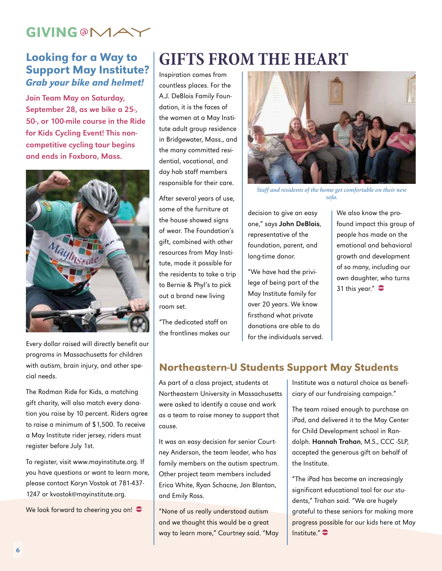## **GIVING @MAY**

#### Looking for a Way to Support May Institute? Grab your bike and helmet!

Join Team May on Saturday, September 28, as we bike a 25-, 50-, or 100-mile course in the Ride for Kids Cycling Event! This noncompetitive cycling tour begins and ends in Foxboro, Mass.



Every dollar raised will directly benefit our programs in Massachusetts for children with autism, brain injury, and other special needs.

The Rodman Ride for Kids, a matching gift charity, will also match every donation you raise by 10 percent. Riders agree to raise a minimum of \$1,500. To receive a May Institute rider jersey, riders must register before July 1st.

To register, visit www.mayinstitute.org. If you have questions or want to learn more, please contact Karyn Vostok at 781-437- 1247 or kvostok@mayinstitute.org.

We look forward to cheering you on!  $\bullet$ 

## **Gifts from the Heart**

Inspiration comes from countless places. For the A.J. DeBlois Family Foundation, it is the faces of the women at a May Institute adult group residence in Bridgewater, Mass., and the many committed residential, vocational, and day hab staff members responsible for their care.

After several years of use, some of the furniture at the house showed signs of wear. The Foundation's gift, combined with other resources from May Institute, made it possible for the residents to take a trip to Bernie & Phyl's to pick out a brand new living room set.

"The dedicated staff on the frontlines makes our



*Staff and residents of the home get comfortable on their new sofa.*

decision to give an easy one," says John DeBlois, representative of the foundation, parent, and long-time donor.

"We have had the privilege of being part of the May Institute family for over 20 years. We know firsthand what private donations are able to do for the individuals served. We also know the profound impact this group of people has made on the emotional and behavioral growth and development of so many, including our own daughter, who turns 31 this year." $\bullet$ 

#### Northeastern-U Students Support May Students

As part of a class project, students at Northeastern University in Massachusetts were asked to identify a cause and work as a team to raise money to support that cause.

It was an easy decision for senior Courtney Anderson, the team leader, who has family members on the autism spectrum. Other project team members included Erica White, Ryan Schacne, Jon Blanton, and Emily Ross.

"None of us really understood autism and we thought this would be a great way to learn more," Courtney said. "May Institute was a natural choice as beneficiary of our fundraising campaign."

The team raised enough to purchase an iPad, and delivered it to the May Center for Child Development school in Randolph. Hannah Trahan, M.S., CCC -SLP, accepted the generous gift on behalf of the Institute.

"The iPad has become an increasingly significant educational tool for our students," Trahan said. "We are hugely grateful to these seniors for making more progress possible for our kids here at May Institute." $\bullet$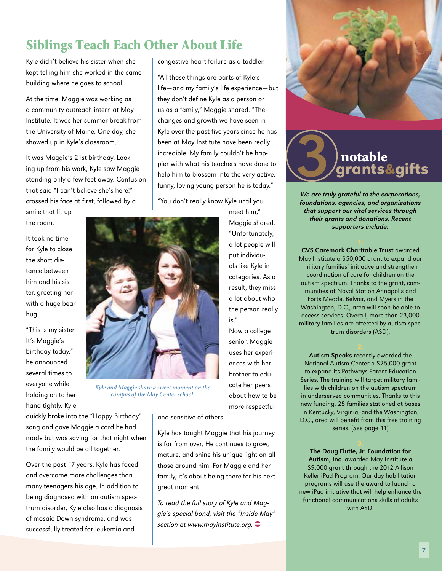## Siblings Teach Each Other About Life

Kyle didn't believe his sister when she kept telling him she worked in the same building where he goes to school.

At the time, Maggie was working as a community outreach intern at May Institute. It was her summer break from the University of Maine. One day, she showed up in Kyle's classroom.

It was Maggie's 21st birthday. Looking up from his work, Kyle saw Maggie standing only a few feet away. Confusion that said "I can't believe she's here!" crossed his face at first, followed by a smile that lit up

the room.

It took no time for Kyle to close the short distance between him and his sister, greeting her with a huge bear hug.

"This is my sister. It's Maggie's birthday today," he announced several times to everyone while holding on to her hand tightly. Kyle



*Kyle and Maggie share a sweet moment on the campus of the May Center school.* 

quickly broke into the "Happy Birthday" song and gave Maggie a card he had made but was saving for that night when the family would be all together.

Over the past 17 years, Kyle has faced and overcome more challenges than many teenagers his age. In addition to being diagnosed with an autism spectrum disorder, Kyle also has a diagnosis of mosaic Down syndrome, and was successfully treated for leukemia and

congestive heart failure as a toddler.

"All those things are parts of Kyle's life—and my family's life experience—but they don't define Kyle as a person or us as a family," Maggie shared. "The changes and growth we have seen in Kyle over the past five years since he has been at May Institute have been really incredible. My family couldn't be happier with what his teachers have done to help him to blossom into the very active, funny, loving young person he is today."

"You don't really know Kyle until you

meet him," Maggie shared. "Unfortunately, a lot people will put individuals like Kyle in categories. As a result, they miss a lot about who the person really is."

senior, Maggie uses her experiences with her brother to educate her peers about how to be more respectful

and sensitive of others.

Kyle has taught Maggie that his journey is far from over. He continues to grow, mature, and shine his unique light on all those around him. For Maggie and her family, it's about being there for his next great moment.

To read the full story of Kyle and Maggie's special bond, visit the "Inside May" section at www.mayinstitute.org.  $\bullet$ 





We are truly grateful to the corporations, foundations, agencies, and organizations that support our vital services through their grants and donations. Recent supporters include:

CVS Caremark Charitable Trust awarded May Institute a \$50,000 grant to expand our military families' initiative and strengthen coordination of care for children on the autism spectrum. Thanks to the grant, communities at Naval Station Annapolis and Forts Meade, Belvoir, and Myers in the Washington, D.C., area will soon be able to access services. Overall, more than 23,000 military families are affected by autism spectrum disorders (ASD).

Autism Speaks recently awarded the National Autism Center a \$25,000 grant to expand its Pathways Parent Education Series. The training will target military families with children on the autism spectrum in underserved communities. Thanks to this new funding, 25 families stationed at bases in Kentucky, Virginia, and the Washington, D.C., area will benefit from this free training series. (See page 11)

The Doug Flutie, Jr. Foundation for Autism, Inc. awarded May Institute a \$9,000 grant through the 2012 Allison Keller iPad Program. Our day habilitation programs will use the award to launch a new iPad initiative that will help enhance the functional communications skills of adults with ASD.

Now a college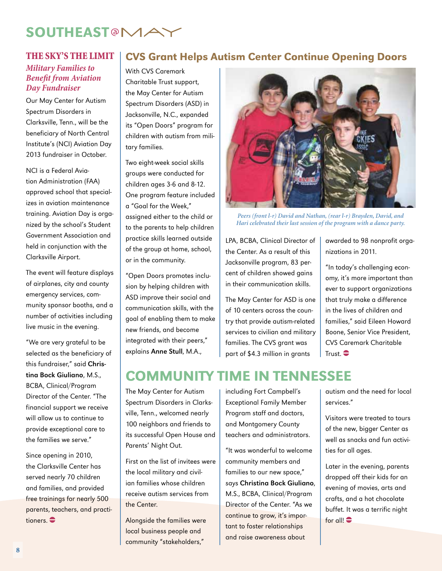## **SOUTHEAST@MAY**

#### *Military Families to Benefit from Aviation Day Fundraiser*

Our May Center for Autism Spectrum Disorders in Clarksville, Tenn., will be the beneficiary of North Central Institute's (NCI) Aviation Day 2013 fundraiser in October.

NCI is a Federal Aviation Administration (FAA) approved school that specializes in aviation maintenance training. Aviation Day is organized by the school's Student Government Association and held in conjunction with the Clarksville Airport.

The event will feature displays of airplanes, city and county emergency services, community sponsor booths, and a number of activities including live music in the evening.

"We are very grateful to be selected as the beneficiary of this fundraiser," said Christina Bock Giuliano, M.S., BCBA, Clinical/Program Director of the Center. "The financial support we receive will allow us to continue to provide exceptional care to the families we serve."

Since opening in 2010, the Clarksville Center has served nearly 70 children and families, and provided free trainings for nearly 500 parents, teachers, and practitioners.  $\bullet$ 

#### THE SKY'S THE LIMIT | CVS Grant Helps Autism Center Continue Opening Doors

With CVS Caremark Charitable Trust support, the May Center for Autism Spectrum Disorders (ASD) in Jacksonville, N.C., expanded its "Open Doors" program for children with autism from military families.

Two eight-week social skills groups were conducted for children ages 3-6 and 8-12. One program feature included a "Goal for the Week," assigned either to the child or to the parents to help children practice skills learned outside of the group at home, school, or in the community.

"Open Doors promotes inclusion by helping children with ASD improve their social and communication skills, with the goal of enabling them to make new friends, and become integrated with their peers," explains Anne Stull, M.A.,



*Peers (front l-r) David and Nathan, (rear l-r) Brayden, David, and Hari celebrated their last session of the program with a dance party.*

LPA, BCBA, Clinical Director of the Center. As a result of this Jacksonville program, 83 percent of children showed gains in their communication skills.

The May Center for ASD is one of 10 centers across the country that provide autism-related services to civilian and military families. The CVS grant was part of \$4.3 million in grants

awarded to 98 nonprofit organizations in 2011.

"In today's challenging economy, it's more important than ever to support organizations that truly make a difference in the lives of children and families," said Eileen Howard Boone, Senior Vice President, CVS Caremark Charitable Trust.  $\bullet$ 

## Community Time in Tennessee

The May Center for Autism Spectrum Disorders in Clarksville, Tenn., welcomed nearly 100 neighbors and friends to its successful Open House and Parents' Night Out.

First on the list of invitees were the local military and civilian families whose children receive autism services from the Center.

Alongside the families were local business people and community "stakeholders,"

including Fort Campbell's Exceptional Family Member Program staff and doctors, and Montgomery County teachers and administrators.

"It was wonderful to welcome community members and families to our new space," says Christina Bock Giuliano, M.S., BCBA, Clinical/Program Director of the Center. "As we continue to grow, it's important to foster relationships and raise awareness about

autism and the need for local services."

Visitors were treated to tours of the new, bigger Center as well as snacks and fun activities for all ages.

Later in the evening, parents dropped off their kids for an evening of movies, arts and crafts, and a hot chocolate buffet. It was a terrific night for all! $\bullet$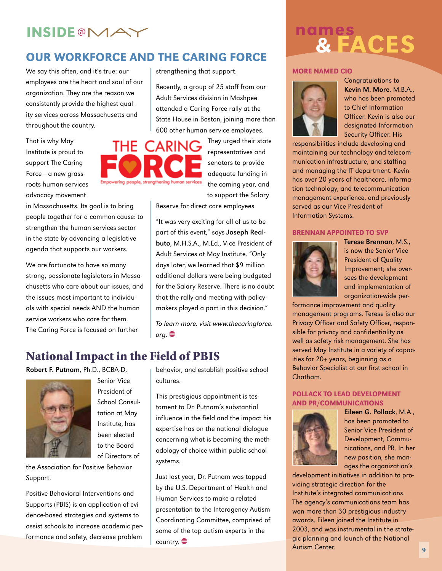### Our Workforce and The Caring Force

We say this often, and it's true: our employees are the heart and soul of our organization. They are the reason we consistently provide the highest quality services across Massachusetts and throughout the country.

That is why May Institute is proud to support The Caring Force—a new grassroots human services advocacy movement

in Massachusetts. Its goal is to bring people together for a common cause: to strengthen the human services sector in the state by advancing a legislative agenda that supports our workers.

We are fortunate to have so many strong, passionate legislators in Massachusetts who care about our issues, and the issues most important to individuals with special needs AND the human service workers who care for them. The Caring Force is focused on further

THE CARING Empowering people, strengthening human services

strengthening that support.

Recently, a group of 25 staff from our Adult Services division in Mashpee attended a Caring Force rally at the State House in Boston, joining more than 600 other human service employees.

> They urged their state representatives and senators to provide adequate funding in the coming year, and to support the Salary

Reserve for direct care employees.

"It was very exciting for all of us to be part of this event," says Joseph Realbuto, M.H.S.A., M.Ed., Vice President of Adult Services at May Institute. "Only days later, we learned that \$9 million additional dollars were being budgeted for the Salary Reserve. There is no doubt that the rally and meeting with policymakers played a part in this decision."

To learn more, visit www.thecaringforce.  $\mathsf{orq.}$  $\bullet$ 

### National Impact in the Field of PBIS

Robert F. Putnam, Ph.D., BCBA-D,



Senior Vice President of School Consultation at May Institute, has been elected to the Board of Directors of

the Association for Positive Behavior Support.

Positive Behavioral Interventions and Supports (PBIS) is an application of evidence-based strategies and systems to assist schools to increase academic performance and safety, decrease problem

behavior, and establish positive school cultures.

This prestigious appointment is testament to Dr. Putnam's substantial influence in the field and the impact his expertise has on the national dialogue concerning what is becoming the methodology of choice within public school systems.

Just last year, Dr. Putnam was tapped by the U.S. Department of Health and Human Services to make a related presentation to the Interagency Autism Coordinating Committee, comprised of some of the top autism experts in the  $country.$ 

# INSIDE®MAY<br>
OUR WORKFORCE AND THE CARING FORCE WARD TO SALES

#### More Named CIO



Congratulations to Kevin M. More, M.B.A., who has been promoted to Chief Information Officer. Kevin is also our designated Information Security Officer. His

responsibilities include developing and maintaining our technology and telecommunication infrastructure, and staffing and managing the IT department. Kevin has over 20 years of healthcare, information technology, and telecommunication management experience, and previously served as our Vice President of Information Systems.

#### Brennan appointed to SVP



Terese Brennan, M.S., is now the Senior Vice President of Quality Improvement; she oversees the development and implementation of organization-wide per-

formance improvement and quality management programs. Terese is also our Privacy Officer and Safety Officer, responsible for privacy and confidentiality as well as safety risk management. She has served May Institute in a variety of capacities for 20+ years, beginning as a Behavior Specialist at our first school in Chatham.

#### Pollack to lead Development and pr/Communications



Eileen G. Pollack, M.A., has been promoted to Senior Vice President of Development, Communications, and PR. In her new position, she manages the organization's

development initiatives in addition to providing strategic direction for the Institute's integrated communications. The agency's communications team has won more than 30 prestigious industry awards. Eileen joined the Institute in 2003, and was instrumental in the strategic planning and launch of the National Autism Center.

9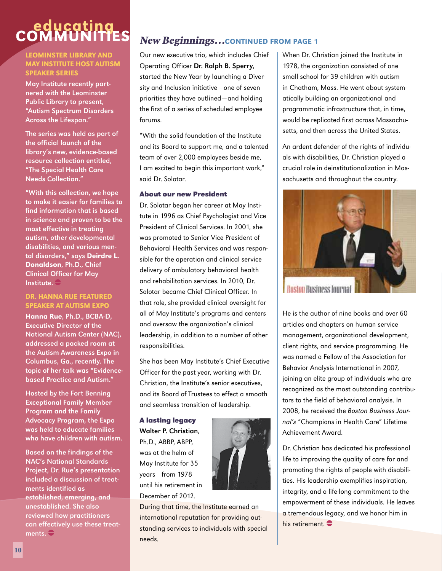## educating<br>COMMUNITIES

#### Leominster Library and May Institute host Autism Speaker Series

May Institute recently partnered with the Leominster Public Library to present, "Autism Spectrum Disorders Across the Lifespan."

The series was held as part of the official launch of the library's new, evidence-based resource collection entitled, "The Special Health Care Needs Collection."

"With this collection, we hope to make it easier for families to find information that is based in science and proven to be the most effective in treating autism, other developmental disabilities, and various mental disorders," says Deirdre L. Donaldson, Ph.D., Chief Clinical Officer for May Institute.  $\ominus$ 

#### Dr. Hanna Rue Featured Speaker at Autism Expo

Hanna Rue, Ph.D., BCBA-D, Executive Director of the National Autism Center (NAC), addressed a packed room at the Autism Awareness Expo in Columbus, Ga., recently. The topic of her talk was "Evidencebased Practice and Autism."

Hosted by the Fort Benning Exceptional Family Member Program and the Family Advocacy Program, the Expo was held to educate families who have children with autism.

Based on the findings of the NAC's National Standards Project, Dr. Rue's presentation included a discussion of treatments identified as established, emerging, and unestablished. She also reviewed how practitioners can effectively use these treatments.  $\bigoplus$ 

#### New Beginnings…continued from page 1

Our new executive trio, which includes Chief Operating Officer Dr. Ralph B. Sperry, started the New Year by launching a Diversity and Inclusion initiative—one of seven priorities they have outlined—and holding the first of a series of scheduled employee forums.

"With the solid foundation of the Institute and its Board to support me, and a talented team of over 2,000 employees beside me, I am excited to begin this important work," said Dr. Solotar.

#### **About our new President**

Dr. Solotar began her career at May Institute in 1996 as Chief Psychologist and Vice President of Clinical Services. In 2001, she was promoted to Senior Vice President of Behavioral Health Services and was responsible for the operation and clinical service delivery of ambulatory behavioral health and rehabilitation services. In 2010, Dr. Solotar became Chief Clinical Officer. In that role, she provided clinical oversight for all of May Institute's programs and centers and oversaw the organization's clinical leadership, in addition to a number of other responsibilities.

She has been May Institute's Chief Executive Officer for the past year, working with Dr. Christian, the Institute's senior executives, and its Board of Trustees to effect a smooth and seamless transition of leadership.

**A lasting legacy** Walter P. Christian, Ph.D., ABBP, ABPP, was at the helm of May Institute for 35 years—from 1978 until his retirement in December of 2012.



During that time, the Institute earned an international reputation for providing outstanding services to individuals with special needs.

When Dr. Christian joined the Institute in 1978, the organization consisted of one small school for 39 children with autism in Chatham, Mass. He went about systematically building an organizational and programmatic infrastructure that, in time, would be replicated first across Massachusetts, and then across the United States.

An ardent defender of the rights of individuals with disabilities, Dr. Christian played a crucial role in deinstitutionalization in Massachusetts and throughout the country.



He is the author of nine books and over 60 articles and chapters on human service management, organizational development, client rights, and service programming. He was named a Fellow of the Association for Behavior Analysis International in 2007, joining an elite group of individuals who are recognized as the most outstanding contributors to the field of behavioral analysis. In 2008, he received the Boston Business Journal's "Champions in Health Care" Lifetime Achievement Award.

Dr. Christian has dedicated his professional life to improving the quality of care for and promoting the rights of people with disabilities. His leadership exemplifies inspiration, integrity, and a life-long commitment to the empowerment of these individuals. He leaves a tremendous legacy, and we honor him in his retirement.  $\bullet$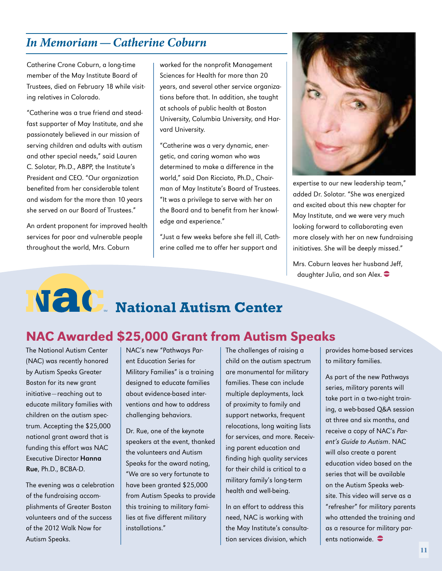### *In Memoriam—Catherine Coburn*

Catherine Crone Coburn, a long-time member of the May Institute Board of Trustees, died on February 18 while visiting relatives in Colorado.

"Catherine was a true friend and steadfast supporter of May Institute, and she passionately believed in our mission of serving children and adults with autism and other special needs," said Lauren C. Solotar, Ph.D., ABPP, the Institute's President and CEO. "Our organization benefited from her considerable talent and wisdom for the more than 10 years she served on our Board of Trustees."

An ardent proponent for improved health services for poor and vulnerable people throughout the world, Mrs. Coburn

worked for the nonprofit Management Sciences for Health for more than 20 years, and several other service organizations before that. In addition, she taught at schools of public health at Boston University, Columbia University, and Harvard University.

"Catherine was a very dynamic, energetic, and caring woman who was determined to make a difference in the world," said Don Ricciato, Ph.D., Chairman of May Institute's Board of Trustees. "It was a privilege to serve with her on the Board and to benefit from her knowledge and experience."

"Just a few weeks before she fell ill, Catherine called me to offer her support and



expertise to our new leadership team," added Dr. Solotar. "She was energized and excited about this new chapter for May Institute, and we were very much looking forward to collaborating even more closely with her on new fundraising initiatives. She will be deeply missed."

Mrs. Coburn leaves her husband Jeff, daughter Julia, and son Alex.  $\bullet$ 

## **National Autism Center**

## NAC Awarded \$25,000 Grant from Autism Speaks

The National Autism Center (NAC) was recently honored by Autism Speaks Greater Boston for its new grant initiative—reaching out to educate military families with children on the autism spectrum. Accepting the \$25,000 national grant award that is funding this effort was NAC Executive Director Hanna Rue, Ph.D., BCBA-D.

The evening was a celebration of the fundraising accomplishments of Greater Boston volunteers and of the success of the 2012 Walk Now for Autism Speaks.

NAC's new "Pathways Parent Education Series for Military Families" is a training designed to educate families about evidence-based interventions and how to address challenging behaviors.

Dr. Rue, one of the keynote speakers at the event, thanked the volunteers and Autism Speaks for the award noting, "We are so very fortunate to have been granted \$25,000 from Autism Speaks to provide this training to military families at five different military installations."

The challenges of raising a child on the autism spectrum are monumental for military families. These can include multiple deployments, lack of proximity to family and support networks, frequent relocations, long waiting lists for services, and more. Receiving parent education and finding high quality services for their child is critical to a military family's long-term health and well-being.

In an effort to address this need, NAC is working with the May Institute's consultation services division, which

provides home-based services to military families.

As part of the new Pathways series, military parents will take part in a two-night training, a web-based Q&A session at three and six months, and receive a copy of NAC's Parent's Guide to Autism. NAC will also create a parent education video based on the series that will be available on the Autism Speaks website. This video will serve as a "refresher" for military parents who attended the training and as a resource for military parents nationwide.  $\bullet$